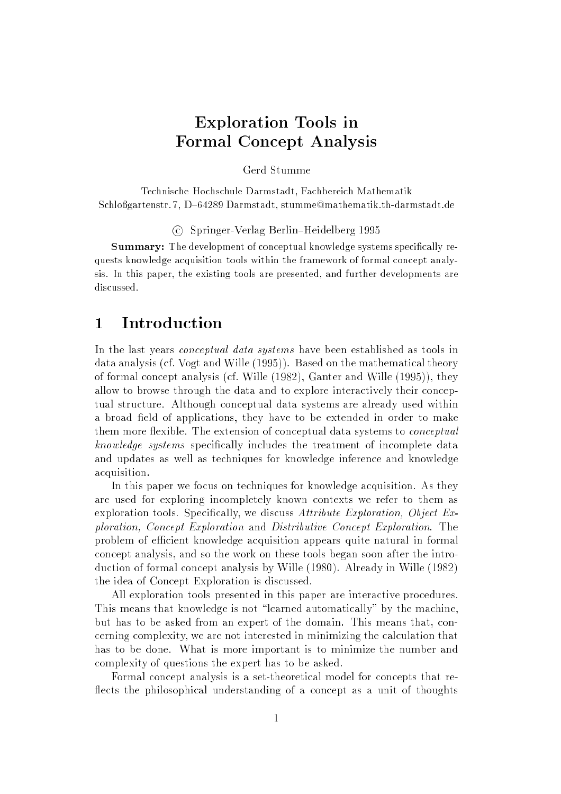## Exploration Tools in Formal Concept Analysis

Gerd Stumme

Technische Hochschule Darmstadt, Fachbereich Mathematik Schloßgartenstr. 7, D-64289 Darmstadt, stumme@mathematik.th-darmstadt.de

 $\sum_{i=1}^{n}$  Springer-Verlag Berlin $\sum_{i=1}^{n}$ 

Summary: The development of conceptual knowledge systems specifically requests knowledge acquisition tools within the framework of formal concept analysis. In this paper, the existing tools are presented, and further developments are discussed.

#### 1 Introduction

In the last years *conceptual data systems* have been established as tools in data analysis (cf. Vogt and Wille (1995)). Based on the mathematical theory of formal concept analysis (cf. Wille (1982), Ganter and Wille (1995)), they allow to browse through the data and to explore interactively their conceptual structure. Although conceptual data systems are already used within a broad field of applications, they have to be extended in order to make them more flexible. The extension of conceptual data systems to *conceptual* knowledge systems specifically includes the treatment of incomplete data and updates as well as techniques for knowledge inference and knowledge acquisition.

In this paper we focus on techniques for knowledge acquisition. As they are used for exploring incompletely known contexts we refer to them as exploration tools. Specifically, we discuss Attribute Exploration, Object  $Ex$ ploration, Concept Exploration and Distributive Concept Exploration. The problem of efficient knowledge acquisition appears quite natural in formal concept analysis, and so the work on these tools began soon after the introduction of formal concept analysis by Wille (1980). Already in Wille (1982) the idea of Concept Exploration is discussed.

All exploration tools presented in this paper are interactive procedures. This means that knowledge is not "learned automatically" by the machine. but has to be asked from an expert of the domain. This means that, concerning complexity, we are not interested in minimizing the calculation that has to be done. What is more important is to minimize the number and complexity of questions the expert has to be asked.

Formal concept analysis is a set-theoretical model for concepts that re flects the philosophical understanding of a concept as a unit of thoughts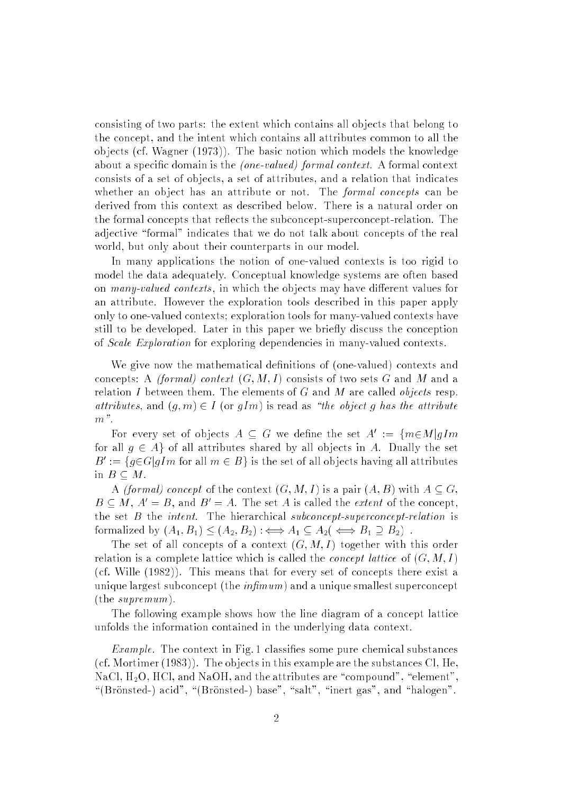consisting of two parts: the extent which contains all ob jects that belong to the concept, and the intent which contains all attributes common to all the ob jects (cf. Wagner (1973)). The basic notion which models the knowledge about a specific domain is the (one-valued) formal context. A formal context consists of a set of objects, a set of attributes, and a relation that indicates whether an object has an attribute or not. The *formal concepts* can be derived from this context as described below. There is a natural order on the formal concepts that reflects the subconcept-superconcept-relation. The adjective "formal" indicates that we do not talk about concepts of the real world, but only about their counterparts in our model.

In many applications the notion of one-valued contexts is too rigid to model the data adequately. Conceptual knowledge systems are often based on many-valued contexts, in which the objects may have different values for an attribute. However the exploration tools described in this paper apply only to one-valued contexts; exploration tools for many-valued contexts have still to be developed. Later in this paper we briefly discuss the conception of Scale Exploration for exploring dependencies in many-valued contexts.

We give now the mathematical definitions of (one-valued) contexts and concepts: A *(formal) context*  $(G, M, I)$  consists of two sets G and M and a relation I between them. The elements of G and M are called *objects* resp. attributes, and  $(g, m) \in I$  (or  $gIm$ ) is read as "the object g has the attribute  $m$ ".

For every set of objects  $A \subseteq G$  we define the set  $A^* := \{m \in M | q \}$ for all  $g \in A$  of all attributes shared by all objects in A. Dually the set  $B^{\dagger} := \{q \in G | q \, \text{Im} \text{ for all } m \in B \}$  is the set of all objects having all attributes in  $B \subset M$ .

A *(formal)* concept of the context  $(G, M, I)$  is a pair  $(A, B)$  with  $A \subseteq G$ ,  $B \subseteq M$ ,  $A' = B$ , and  $B' = A$ . The set A is called the *extent* of the concept, the set  $B$  the *intent*. The hierarchical subconcept-superconcept-relation is formalized by (A1; B1) (A2; B2) :() A1 A2( () B1 B2) :

The set of all concepts of a context  $(G, M, I)$  together with this order relation is a complete lattice which is called the *concept lattice* of  $(G, M, I)$ (cf. Wille (1982)). This means that for every set of concepts there exist a unique largest subconcept (the  $\inf_{m \leq m}$ ) and a unique smallest superconcept (the supremum).

The following example shows how the line diagram of a concept lattice unfolds the information contained in the underlying data context.

*Example*. The context in Fig. 1 classifies some pure chemical substances (cf. Mortimer (1983)). The ob jects in this example are the substances Cl, He,  $NaCl, H<sub>2</sub>O, HCl, and NaOH, and the attributes are "compound", "element",$ "(Brönsted-) acid", "(Brönsted-) base", "salt", "inert gas", and "halogen".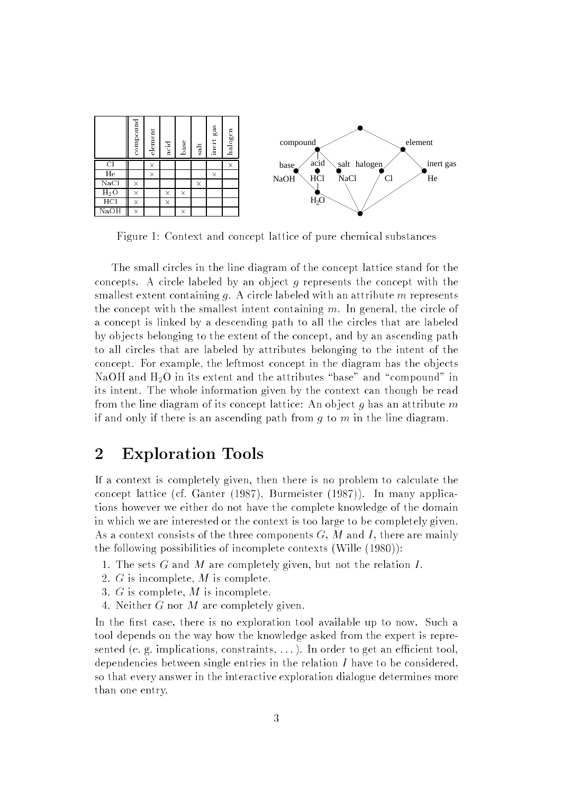

Figure 1: Context and concept lattice of pure chemical substances

The small circles in the line diagram of the concept lattice stand for the concepts. A circle labeled by an object  $g$  represents the concept with the smallest extent containing q. A circle labeled with an attribute  $m$  represents the concept with the smallest intent containing  $m$ . In general, the circle of a concept is linked by a descending path to all the circles that are labeled by ob jects belonging to the extent of the concept, and by an ascending path to all circles that are labeled by attributes belonging to the intent of the concept. For example, the leftmost concept in the diagram has the objects NaOH and  $H_2O$  in its extent and the attributes "base" and "compound" in its intent. The whole information given by the context can though be read from the line diagram of its concept lattice: An object  $q$  has an attribute m if and only if there is an ascending path from  $q$  to  $m$  in the line diagram.

### 2 Exploration Tools

If a context is completely given, then there is no problem to calculate the concept lattice (cf. Ganter (1987), Burmeister (1987)). In many applications however we either do not have the complete knowledge of the domain in which we are interested or the context is too large to be completely given. As a context consists of the three components  $G, M$  and I, there are mainly the following possibilities of incomplete contexts (Wille (1980)):

- 1. The sets  $G$  and  $M$  are completely given, but not the relation  $I$ .
- 2. G is incomplete, M is complete.
- 3. G is complete, M is incomplete.
- 4. Neither G nor M are completely given.

In the first case, there is no exploration tool available up to now. Such a tool depends on the way how the knowledge asked from the expert is represented (e. g. implications, constraints,  $\dots$ ). In order to get an efficient tool, dependencies between single entries in the relation  $I$  have to be considered, so that every answer in the interactive exploration dialogue determines more than one entry.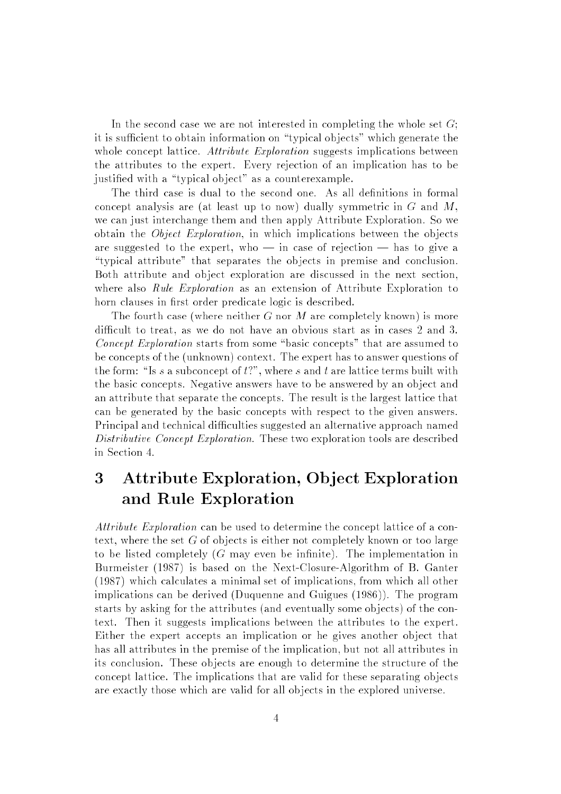In the second case we are not interested in completing the whole set  $G$ ; it is sufficient to obtain information on "typical objects" which generate the whole concept lattice. Attribute Exploration suggests implications between the attributes to the expert. Every rejection of an implication has to be justified with a "typical object" as a counterexample.

The third case is dual to the second one. As all definitions in formal concept analysis are (at least up to now) dually symmetric in  $G$  and  $M$ . we can just interchange them and then apply Attribute Exploration. So we obtain the *Object Exploration*, in which implications between the objects are suggested to the expert, who  $\frac{1}{2}$  in case of rejection  $\frac{1}{2}$  has to give a \typical attribute" that separates the ob jects in premise and conclusion. Both attribute and object exploration are discussed in the next section. where also Rule Exploration as an extension of Attribute Exploration to horn clauses in first order predicate logic is described.

The fourth case (where neither G nor M are completely known) is more difficult to treat, as we do not have an obvious start as in cases 2 and 3. Concept Exploration starts from some "basic concepts" that are assumed to be concepts of the (unknown) context. The expert has to answer questions of the form: "Is s a subconcept of  $t$ ?", where s and t are lattice terms built with the basic concepts. Negative answers have to be answered by an ob ject and an attribute that separate the concepts. The result is the largest lattice that can be generated by the basic concepts with respect to the given answers. Principal and technical difficulties suggested an alternative approach named Distributive Concept Exploration. These two exploration tools are described in Section 4.

# 3 Attribute Exploration, Object Exploration and Rule Exploration

Attribute Exploration can be used to determine the concept lattice of a context, where the set  $G$  of objects is either not completely known or too large to be listed completely  $(G \text{ may even be infinite})$ . The implementation in Burmeister (1987) is based on the Next-Closure-Algorithm of B. Ganter (1987) which calculates a minimal set of implications, from which all other implications can be derived (Duquenne and Guigues (1986)). The program starts by asking for the attributes (and eventually some objects) of the context. Then it suggests implications between the attributes to the expert. Either the expert accepts an implication or he gives another object that has all attributes in the premise of the implication, but not all attributes in its conclusion. These objects are enough to determine the structure of the concept lattice. The implications that are valid for these separating objects are exactly those which are valid for all objects in the explored universe.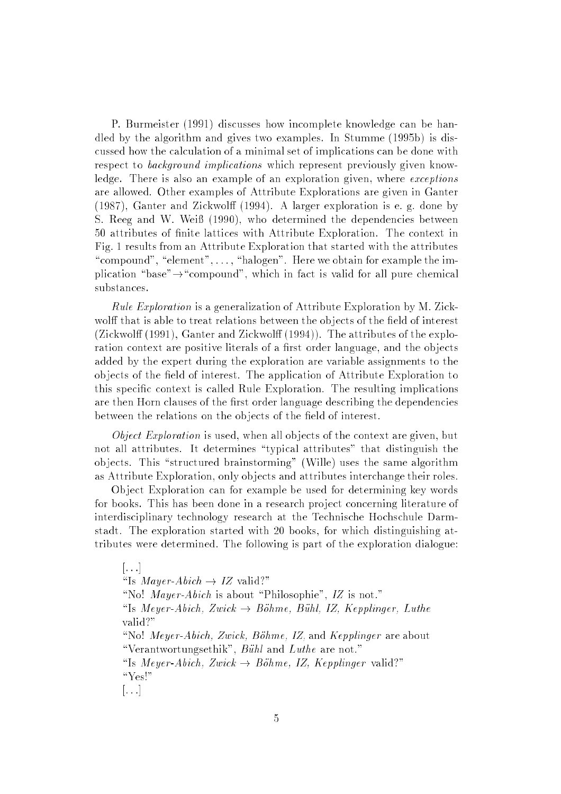P. Burmeister (1991) discusses how incomplete knowledge can be handled by the algorithm and gives two examples. In Stumme (1995b) is discussed how the calculation of a minimal set of implications can be done with respect to *background implications* which represent previously given knowledge. There is also an example of an exploration given, where exceptions are allowed. Other examples of Attribute Explorations are given in Ganter (1987), Ganter and Zickwolff (1994). A larger exploration is e. g. done by S. Reeg and W. Weiß (1990), who determined the dependencies between 50 attributes of nite lattices with Attribute Exploration. The context in Fig. 1 results from an Attribute Exploration that started with the attributes "compound", "element",  $\dots$ , "halogen". Here we obtain for example the implication "base" $\rightarrow$  "compound", which in fact is valid for all pure chemical substances.

Rule Exploration is a generalization of Attribute Exploration by M. Zickwolff that is able to treat relations between the objects of the field of interest (Zickwolff (1991), Ganter and Zickwolff (1994)). The attributes of the exploration context are positive literals of a first order language, and the objects added by the expert during the exploration are variable assignments to the objects of the field of interest. The application of Attribute Exploration to this specic context is called Rule Exploration. The resulting implications are then Horn clauses of the first order language describing the dependencies between the relations on the objects of the field of interest.

*Object Exploration* is used, when all objects of the context are given, but not all attributes. It determines \typical attributes" that distinguish the objects. This "structured brainstorming" (Wille) uses the same algorithm as Attribute Exploration, only ob jects and attributes interchange their roles.

Ob ject Exploration can for example be used for determining key words for books. This has been done in a research project concerning literature of interdisciplinary technology research at the Technische Hochschule Darmstadt. The exploration started with 20 books, for which distinguishing attributes were determined. The following is part of the exploration dialogue:

 $\vert \ldots \vert$ "Is *Mayer-Abich*  $\rightarrow$  *IZ* valid?" "No! Mayer-Abich is about "Philosophie", IZ is not." "Is Meyer-Abich, Zwick  $\rightarrow$  Böhme, Bühl, IZ, Kepplinger, Luthe valid?" "No! Meyer-Abich, Zwick, Böhme, IZ, and Kepplinger are about "Verantwortungsethik",  $B\ddot{u}hl$  and  $Luthe$  are not." "Is Meyer-Abich, Zwick  $\rightarrow$  Böhme, IZ, Kepplinger valid?" " $Yes!"$  $[\ldots]$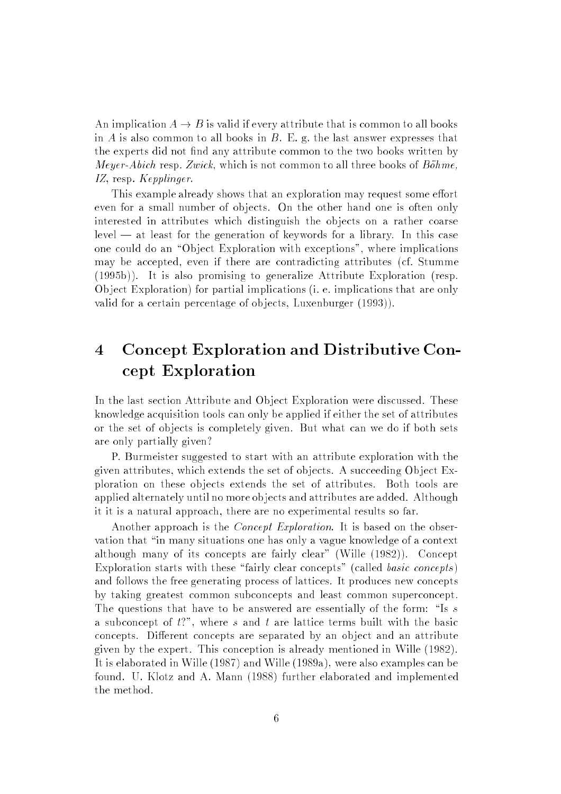An implication  $A \to B$  is valid if every attribute that is common to all books in  $A$  is also common to all books in  $B$ . E. g. the last answer expresses that the experts did not find any attribute common to the two books written by *Meyer-Abich* resp. Zwick, which is not common to all three books of  $B\ddot{o}hme$ , IZ, resp. Kepplinger.

This example already shows that an exploration may request some effort even for a small number of objects. On the other hand one is often only interested in attributes which distinguish the objects on a rather coarse level — at least for the generation of keywords for a library. In this case one could do an "Object Exploration with exceptions", where implications may be accepted, even if there are contradicting attributes (cf. Stumme (1995b)). It is also promising to generalize Attribute Exploration (resp. Ob ject Exploration) for partial implications (i. e. implications that are only valid for a certain percentage of ob jects, Luxenburger (1993)).

# 4 Concept Exploration and Distributive Concept Exploration

In the last section Attribute and Object Exploration were discussed. These knowledge acquisition tools can only be applied if either the set of attributes or the set of objects is completely given. But what can we do if both sets are only partially given?

P. Burmeister suggested to start with an attribute exploration with the given attributes, which extends the set of objects. A succeeding Object Exploration on these ob jects extends the set of attributes. Both tools are applied alternately until no more objects and attributes are added. Although it it is a natural approach, there are no experimental results so far.

Another approach is the *Concept Exploration*. It is based on the observation that "in many situations one has only a vague knowledge of a context although many of its concepts are fairly clear" (Wille (1982)). Concept Exploration starts with these "fairly clear concepts" (called *basic concepts*) and follows the free generating process of lattices. It produces new concepts by taking greatest common subconcepts and least common superconcept. The questions that have to be answered are essentially of the form: "Is s a subconcept of  $t$ ?", where s and t are lattice terms built with the basic concepts. Different concepts are separated by an object and an attribute given by the expert. This conception is already mentioned in Wille (1982). It is elaborated in Wille (1987) and Wille (1989a), were also examples can be found. U. Klotz and A. Mann (1988) further elaborated and implemented the method.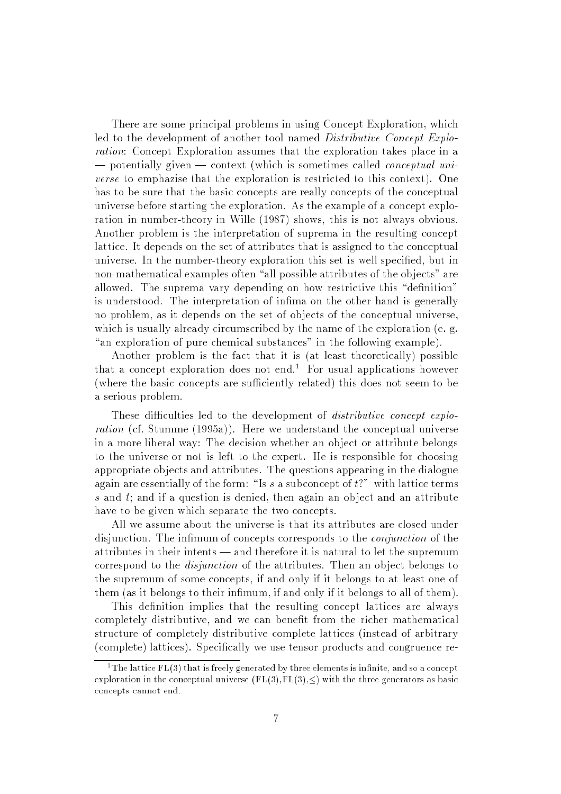There are some principal problems in using Concept Exploration, which led to the development of another tool named *Distributive Concept Explo*ration: Concept Exploration assumes that the exploration takes place in a | potentially given | context (which is sometimes called conceptual universe to emphazise that the exploration is restricted to this context). One has to be sure that the basic concepts are really concepts of the conceptual universe before starting the exploration. As the example of a concept exploration in number-theory in Wille (1987) shows, this is not always obvious. Another problem is the interpretation of suprema in the resulting concept lattice. It depends on the set of attributes that is assigned to the conceptual universe. In the number-theory exploration this set is well specified, but in non-mathematical examples often "all possible attributes of the objects" are allowed. The suprema vary depending on how restrictive this "definition" is understood. The interpretation of inma on the other hand is generally no problem, as it depends on the set of objects of the conceptual universe. which is usually already circumscribed by the name of the exploration (e. g. "an exploration of pure chemical substances" in the following example).

Another problem is the fact that it is (at least theoretically) possible that a concept exploration does not end.<sup>1</sup> For usual applications however (where the basic concepts are sufficiently related) this does not seem to be a serious problem.

These difficulties led to the development of *distributive concept explo*ration (cf. Stumme (1995a)). Here we understand the conceptual universe in a more liberal way: The decision whether an object or attribute belongs to the universe or not is left to the expert. He is responsible for choosing appropriate ob jects and attributes. The questions appearing in the dialogue again are essentially of the form: "Is s a subconcept of  $t$ ?" with lattice terms s and  $t$ ; and if a question is denied, then again an object and an attribute have to be given which separate the two concepts.

All we assume about the universe is that its attributes are closed under disjunction. The infimum of concepts corresponds to the *conjunction* of the attributes in their intents — and therefore it is natural to let the supremum correspond to the *disjunction* of the attributes. Then an object belongs to the supremum of some concepts, if and only if it belongs to at least one of them (as it belongs to their infimum, if and only if it belongs to all of them).

This definition implies that the resulting concept lattices are always completely distributive, and we can benet from the richer mathematical structure of completely distributive complete lattices (instead of arbitrary (complete) lattices). Specically we use tensor products and congruence re-

 $^\circ$  1 ne lattice FL(3) that is freely generated by three elements is infinite, and so a concept exploration in the conceptual universe  $(FL(3), FL(3), \leq)$  with the three generators as basic concepts cannot end.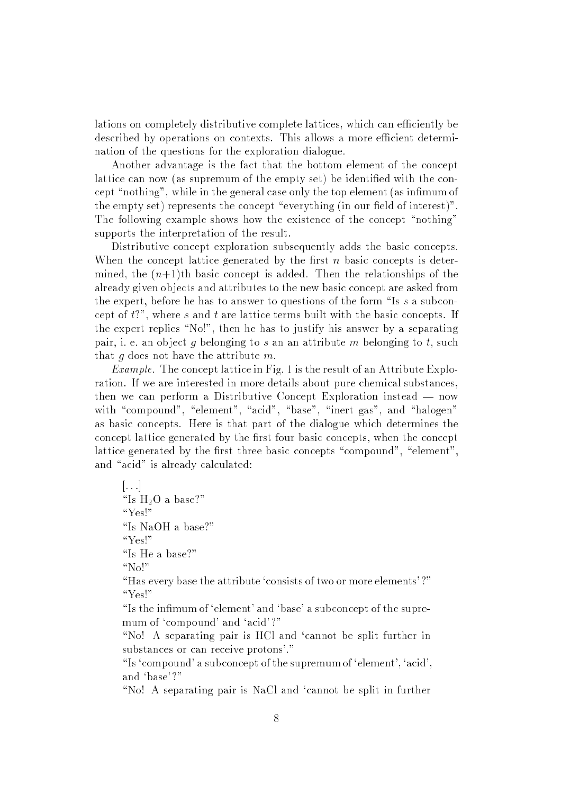lations on completely distributive complete lattices, which can efficiently be described by operations on contexts. This allows a more efficient determination of the questions for the exploration dialogue.

Another advantage is the fact that the bottom element of the concept lattice can now (as supremum of the empty set) be identified with the concept "nothing", while in the general case only the top element (as infimum of the empty set) represents the concept "everything (in our field of interest)". The following example shows how the existence of the concept "nothing" supports the interpretation of the result.

Distributive concept exploration subsequently adds the basic concepts. When the concept lattice generated by the first  $n$  basic concepts is determined, the  $(n+1)$ th basic concept is added. Then the relationships of the already given ob jects and attributes to the new basic concept are asked from the expert, before he has to answer to questions of the form "Is s a subconcept of  $t$ ?", where s and t are lattice terms built with the basic concepts. If the expert replies "No!", then he has to justify his answer by a separating pair, i. e. an object g belonging to s an an attribute m belonging to t, such that q does not have the attribute  $m$ .

*Example.* The concept lattice in Fig. 1 is the result of an Attribute Exploration. If we are interested in more details about pure chemical substances, then we can perform a Distributive Concept Exploration instead  $-$  now with "compound", "element", "acid", "base", "inert gas", and "halogen" as basic concepts. Here is that part of the dialogue which determines the concept lattice generated by the first four basic concepts, when the concept lattice generated by the first three basic concepts "compound", "element", and "acid" is already calculated:

 $[ \ldots]$ "Is  $H_2O$  a base?" "Yes!" "Is NaOH a base?" "Yes!" "Is He a base?"

" $No$ !"

"Has every base the attribute 'consists of two or more elements'?" " $Yes$ !"

"Is the infimum of 'element' and 'base' a subconcept of the supremum of 'compound' and 'acid'?"

"No! A separating pair is HCl and 'cannot be split further in substances or can receive protons'."

"Is 'compound' a subconcept of the supremum of 'element', 'acid', and `base' ?"

"No! A separating pair is NaCl and 'cannot be split in further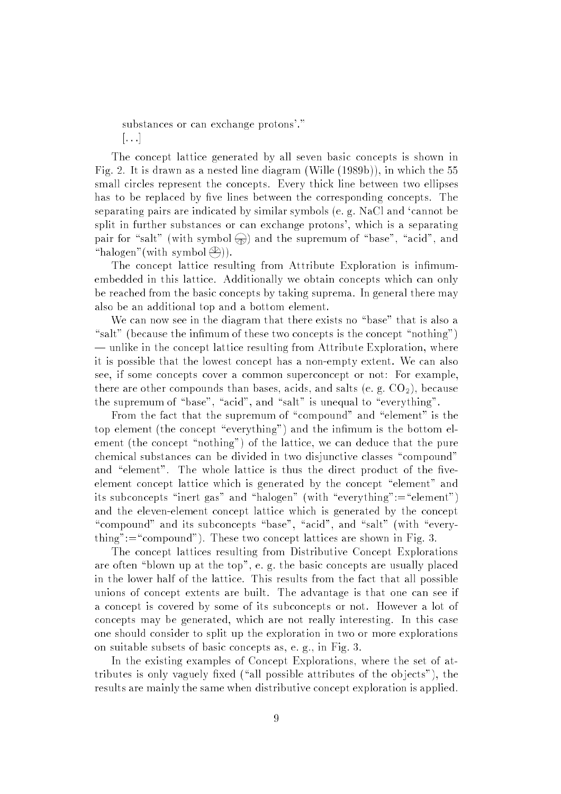substances or can exchange protons'."  $\vert \ldots \vert$ 

The concept lattice generated by all seven basic concepts is shown in Fig. 2. It is drawn as a nested line diagram (Wille (1989b)), in which the 55 small circles represent the concepts. Every thick line between two ellipses has to be replaced by five lines between the corresponding concepts. The separating pairs are indicated by similar symbols (e. g. NaCl and `cannot be split in further substances or can exchange protons', which is a separating pair for "salt" (with symbol  $\bigcirc$ ) and the supremum of "base", "acid", and "halogen" (with symbol  $\textcircled{2})$ ).

The concept lattice resulting from Attribute Exploration is infimumembedded in this lattice. Additionally we obtain concepts which can only be reached from the basic concepts by taking suprema. In general there may also be an additional top and a bottom element.

We can now see in the diagram that there exists no "base" that is also a "salt" (because the infimum of these two concepts is the concept "nothing")  $\equiv$  unlike in the concept lattice resulting from Attribute Exploration, where it is possible that the lowest concept has a non-empty extent. We can also see, if some concepts cover a common superconcept or not: For example, there are other compounds than bases, acids, and salts (e.g.  $CO<sub>2</sub>$ ), because the supremum of "base", "acid", and "salt" is unequal to "everything".

From the fact that the supremum of "compound" and "element" is the top element (the concept "everything") and the infimum is the bottom element (the concept "nothing") of the lattice, we can deduce that the pure chemical substances can be divided in two disjunctive classes "compound" and "element". The whole lattice is thus the direct product of the fiveelement concept lattice which is generated by the concept "element" and its subconcepts "inert gas" and "halogen" (with "everything":="element") and the eleven-element concept lattice which is generated by the concept "compound" and its subconcepts "base", "acid", and "salt" (with "everything":="compound"). These two concept lattices are shown in Fig. 3.

The concept lattices resulting from Distributive Concept Explorations are often "blown up at the top", e. g. the basic concepts are usually placed in the lower half of the lattice. This results from the fact that all possible unions of concept extents are built. The advantage is that one can see if a concept is covered by some of its subconcepts or not. However a lot of concepts may be generated, which are not really interesting. In this case one should consider to split up the exploration in two or more explorations on suitable subsets of basic concepts as, e. g., in Fig. 3.

In the existing examples of Concept Explorations, where the set of attributes is only vaguely fixed ("all possible attributes of the objects"), the results are mainly the same when distributive concept exploration is applied.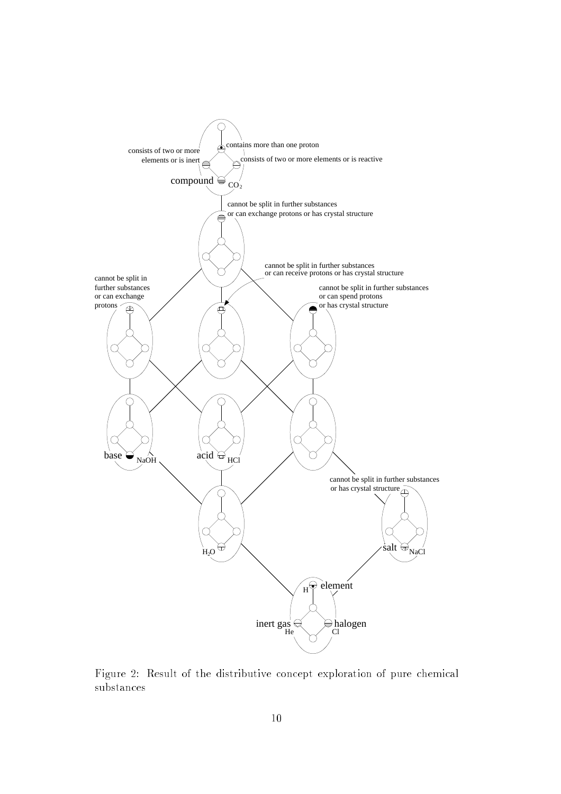

Figure 2: Result of the distributive concept exploration of pure chemical substances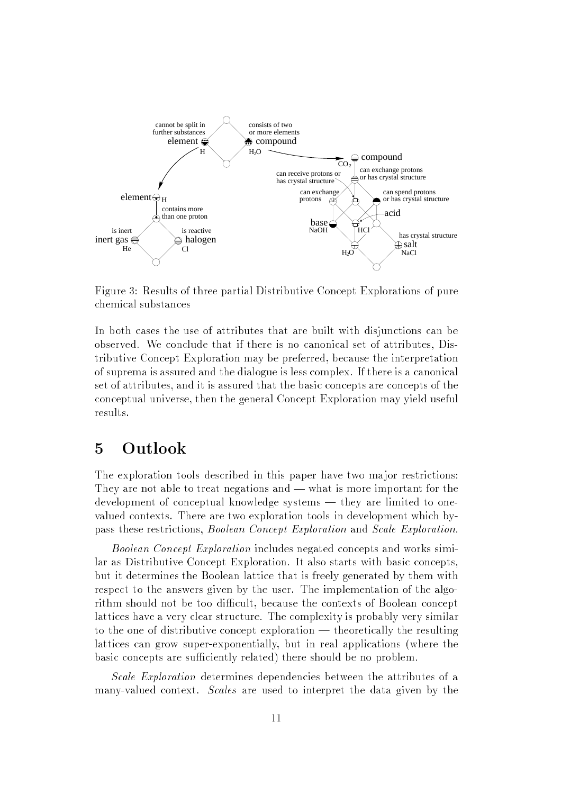

Figure 3: Results of three partial Distributive Concept Explorations of pure chemical substances

In both cases the use of attributes that are built with disjunctions can be observed. We conclude that if there is no canonical set of attributes, Distributive Concept Exploration may be preferred, because the interpretation of suprema is assured and the dialogue is less complex. If there is a canonical set of attributes, and it is assured that the basic concepts are concepts of the conceptual universe, then the general Concept Exploration may yield useful results.

#### 5 Outlook

The exploration tools described in this paper have two major restrictions: They are not able to treat negations and  $-$  what is more important for the development of conceptual knowledge systems — they are limited to onevalued contexts. There are two exploration tools in development which bypass these restrictions, Boolean Concept Exploration and Scale Exploration.

Boolean Concept Exploration includes negated concepts and works similar as Distributive Concept Exploration. It also starts with basic concepts, but it determines the Boolean lattice that is freely generated by them with respect to the answers given by the user. The implementation of the algorithm should not be too difficult, because the contexts of Boolean concept lattices have a very clear structure. The complexity is probably very similar to the one of distributive concept exploration — theoretically the resulting lattices can grow super-exponentially, but in real applications (where the basic concepts are sufficiently related) there should be no problem.

Scale Exploration determines dependencies between the attributes of a many-valued context. Scales are used to interpret the data given by the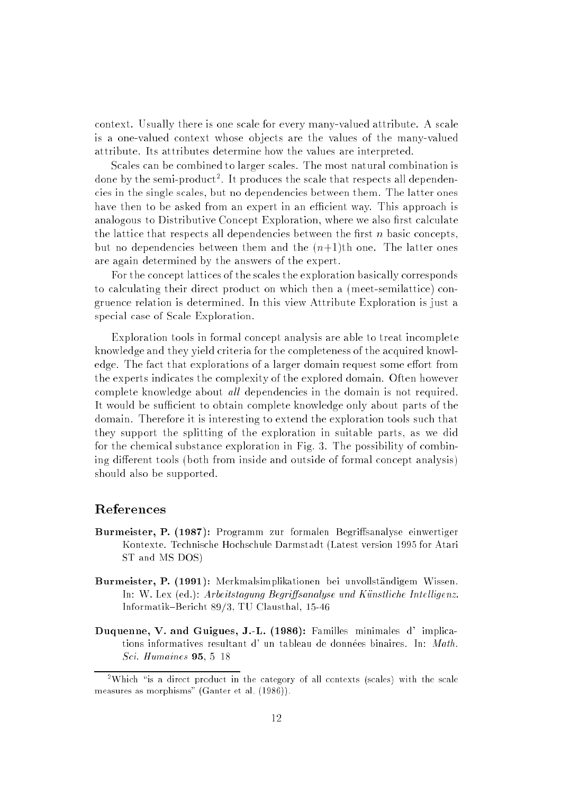context. Usually there is one scale for every many-valued attribute. A scale is a one-valued context whose ob jects are the values of the many-valued attribute. Its attributes determine how the values are interpreted.

Scales can be combined to larger scales. The most natural combination is done by the semi-product<sup>2</sup> . It produces the scale that respects all dependencies in the single scales, but no dependencies between them. The latter ones have then to be asked from an expert in an efficient way. This approach is analogous to Distributive Concept Exploration, where we also first calculate the lattice that respects all dependencies between the first  $n$  basic concepts, but no dependencies between them and the  $(n+1)$ th one. The latter ones are again determined by the answers of the expert.

For the concept lattices of the scales the exploration basically corresponds to calculating their direct product on which then a (meet-semilattice) congruence relation is determined. In this view Attribute Exploration is just a special case of Scale Exploration.

Exploration tools in formal concept analysis are able to treat incomplete knowledge and they yield criteria for the completeness of the acquired knowledge. The fact that explorations of a larger domain request some effort from the experts indicates the complexity of the explored domain. Often however complete knowledge about all dependencies in the domain is not required. It would be sufficient to obtain complete knowledge only about parts of the domain. Therefore it is interesting to extend the exploration tools such that they support the splitting of the exploration in suitable parts, as we did for the chemical substance exploration in Fig. 3. The possibility of combining different tools (both from inside and outside of formal concept analysis) should also be supported.

#### References

- Burmeister, P. (1987): Programm zur formalen Begriffsanalyse einwertiger Kontexte. Technische Hochschule Darmstadt (Latest version 1995 for Atari ST and MS DOS)
- Burmeister, P. (1991): Merkmalsimplikationen bei unvollstandigem Wissen. In: W. Lex (ed.): Arbeitstagung Begriffsanalyse und Künstliche Intelligenz. Informatik{Bericht 89/3, TU Clausthal, 15-46
- Duquenne, V. and Guigues, J.-L. (1986): Familles minimales d' implications informatives resultant d' un tableau de données binaires. In: Math. Sci. Humaines  $95, 5-18$

<sup>&</sup>lt;sup>-</sup> Which is a direct product in the category of all contexts (scales) with the scale measures as morphisms" (Ganter et al. (1986)).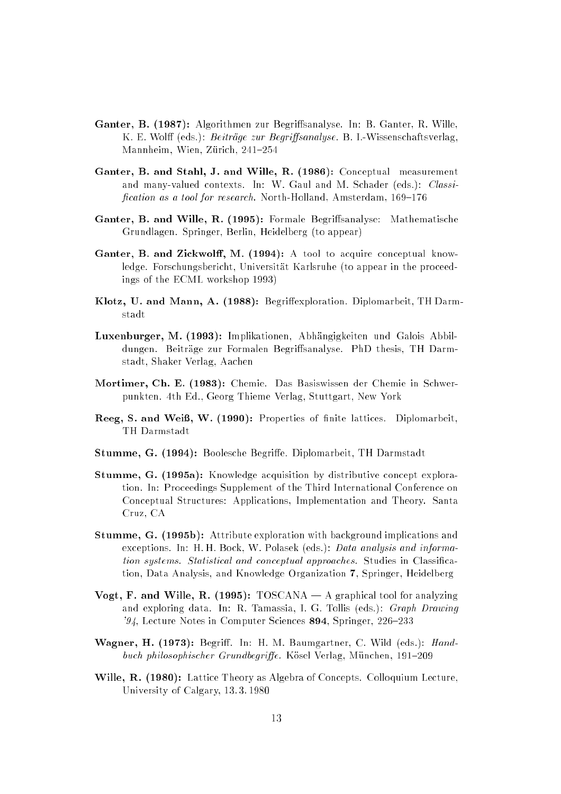- Ganter, B. (1987): Algorithmen zur Begriffsanalyse. In: B. Ganter, R. Wille, K. E. Wolff (eds.): *Beiträge zur Begriffsanalyse*. B. I.-Wissenschaftsverlag Mannheim, Wien, Zürich, 241-254
- Ganter, B. and Stahl, J. and Wille, R. (1986): Conceptual measurement and many-valued contexts. In: W. Gaul and M. Schader (eds.): Classification as a tool for research. North-Holland, Amsterdam,  $169-176$
- Ganter, B. and Wille, R. (1995): Formale Begriffsanalyse: Mathematische Grundlagen. Springer, Berlin, Heidelberg (to appear)
- Ganter, B. and Zickwolff, M. (1994): A tool to acquire conceptual knowledge. Forschungsbericht, Universitat Karlsruhe (to appear in the proceedings of the ECML workshop 1993)
- Klotz, U. and Mann, A. (1988): Begriffexploration. Diplomarbeit, TH Darmstadt
- Luxenburger, M. (1993): Implikationen, Abhangigkeiten und Galois Abbildungen. Beiträge zur Formalen Begriffsanalyse. PhD thesis, TH Darmstadt, Shaker Verlag, Aachen
- Mortimer, Ch. E. (1983): Chemie. Das Basiswissen der Chemie in Schwerpunkten. 4th Ed., Georg Thieme Verlag, Stuttgart, New York
- Reeg, S. and Weiß, W. (1990): Properties of finite lattices. Diplomarbeit, TH Darmstadt
- Stumme, G. (1994): Boolesche Begriffe. Diplomarbeit, TH Darmstadt
- Stumme, G. (1995a): Knowledge acquisition by distributive concept exploration. In: Proceedings Supplement of the Third International Conference on Conceptual Structures: Applications, Implementation and Theory. Santa Cruz, CA
- Stumme, G. (1995b): Attribute exploration with background implications and exceptions. In: H.H. Bock, W. Polasek (eds.): Data analysis and information systems. Statistical and conceptual approaches. Studies in Classication, Data Analysis, and Knowledge Organization 7, Springer, Heidelberg
- Vogt, F. and Wille, R. (1995):  $TOSCANA A$  graphical tool for analyzing and exploring data. In: R. Tamassia, I. G. Tollis (eds.): Graph Drawing '94, Lecture Notes in Computer Sciences  $894$ , Springer, 226–233
- Wagner, H. (1973): Begriff. In: H. M. Baumgartner, C. Wild (eds.): Handbuch philosophischer Grundbegriffe. Kösel Verlag, München, 191–209
- Wille, R. (1980): Lattice Theory as Algebra of Concepts. Colloquium Lecture, University of Calgary, 13. 3. 1980